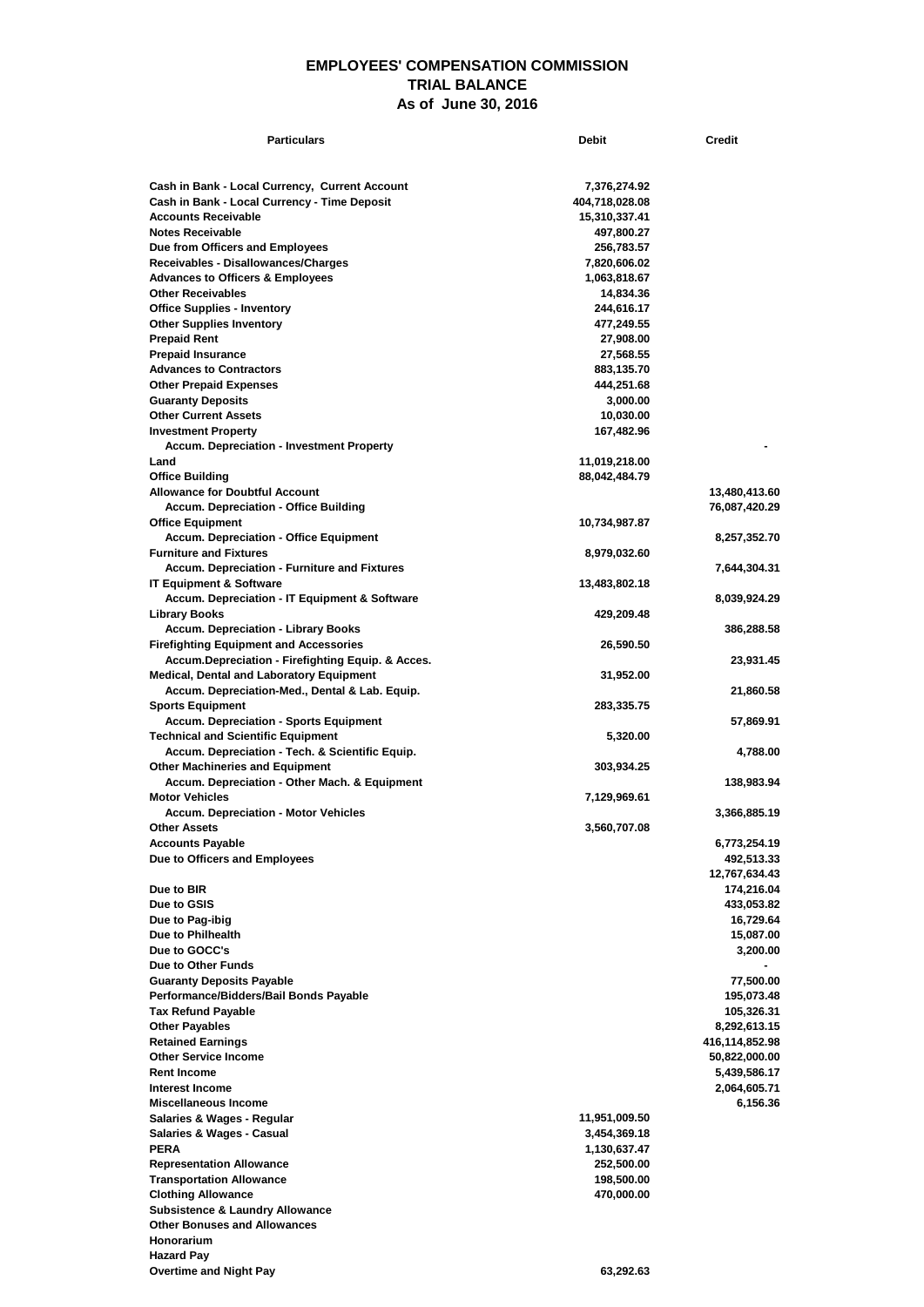## **EMPLOYEES' COMPENSATION COMMISSION TRIAL BALANCE As of June 30, 2016**

| <b>Particulars</b>                                                                                | <b>Debit</b>              | <b>Credit</b>                   |
|---------------------------------------------------------------------------------------------------|---------------------------|---------------------------------|
|                                                                                                   |                           |                                 |
| Cash in Bank - Local Currency, Current Account                                                    | 7,376,274.92              |                                 |
| Cash in Bank - Local Currency - Time Deposit                                                      | 404,718,028.08            |                                 |
| <b>Accounts Receivable</b>                                                                        | 15,310,337.41             |                                 |
| <b>Notes Receivable</b>                                                                           | 497,800.27                |                                 |
| Due from Officers and Employees                                                                   | 256,783.57                |                                 |
| Receivables - Disallowances/Charges                                                               | 7,820,606.02              |                                 |
| <b>Advances to Officers &amp; Employees</b><br><b>Other Receivables</b>                           | 1,063,818.67<br>14,834.36 |                                 |
| <b>Office Supplies - Inventory</b>                                                                | 244,616.17                |                                 |
| <b>Other Supplies Inventory</b>                                                                   | 477,249.55                |                                 |
| <b>Prepaid Rent</b>                                                                               | 27,908.00                 |                                 |
| <b>Prepaid Insurance</b>                                                                          | 27,568.55                 |                                 |
| <b>Advances to Contractors</b>                                                                    | 883,135.70                |                                 |
| <b>Other Prepaid Expenses</b>                                                                     | 444,251.68                |                                 |
| <b>Guaranty Deposits</b><br><b>Other Current Assets</b>                                           | 3,000.00                  |                                 |
| <b>Investment Property</b>                                                                        | 10,030.00<br>167,482.96   |                                 |
| <b>Accum. Depreciation - Investment Property</b>                                                  |                           |                                 |
| Land                                                                                              | 11,019,218.00             |                                 |
| <b>Office Building</b>                                                                            | 88,042,484.79             |                                 |
| <b>Allowance for Doubtful Account</b>                                                             |                           | 13,480,413.60                   |
| <b>Accum. Depreciation - Office Building</b>                                                      |                           | 76,087,420.29                   |
| <b>Office Equipment</b>                                                                           | 10,734,987.87             |                                 |
| <b>Accum. Depreciation - Office Equipment</b><br><b>Furniture and Fixtures</b>                    | 8,979,032.60              | 8,257,352.70                    |
| <b>Accum. Depreciation - Furniture and Fixtures</b>                                               |                           | 7,644,304.31                    |
| <b>IT Equipment &amp; Software</b>                                                                | 13,483,802.18             |                                 |
| <b>Accum. Depreciation - IT Equipment &amp; Software</b>                                          |                           | 8,039,924.29                    |
| <b>Library Books</b>                                                                              | 429,209.48                |                                 |
| <b>Accum. Depreciation - Library Books</b>                                                        |                           | 386,288.58                      |
| <b>Firefighting Equipment and Accessories</b>                                                     | 26,590.50                 |                                 |
| Accum.Depreciation - Firefighting Equip. & Acces.                                                 |                           | 23,931.45                       |
| <b>Medical, Dental and Laboratory Equipment</b><br>Accum. Depreciation-Med., Dental & Lab. Equip. | 31,952.00                 | 21,860.58                       |
| <b>Sports Equipment</b>                                                                           | 283,335.75                |                                 |
| <b>Accum. Depreciation - Sports Equipment</b>                                                     |                           | 57,869.91                       |
| <b>Technical and Scientific Equipment</b>                                                         | 5,320.00                  |                                 |
| Accum. Depreciation - Tech. & Scientific Equip.                                                   |                           | 4,788.00                        |
| <b>Other Machineries and Equipment</b>                                                            | 303,934.25                |                                 |
| Accum. Depreciation - Other Mach. & Equipment<br><b>Motor Vehicles</b>                            | 7,129,969.61              | 138,983.94                      |
| <b>Accum. Depreciation - Motor Vehicles</b>                                                       |                           | 3,366,885.19                    |
| <b>Other Assets</b>                                                                               | 3,560,707.08              |                                 |
| <b>Accounts Payable</b>                                                                           |                           | 6,773,254.19                    |
| Due to Officers and Employees                                                                     |                           | 492,513.33                      |
|                                                                                                   |                           | 12,767,634.43                   |
| Due to BIR                                                                                        |                           | 174,216.04                      |
| Due to GSIS                                                                                       |                           | 433,053.82                      |
| Due to Pag-ibig<br>Due to Philhealth                                                              |                           | 16,729.64<br>15,087.00          |
| Due to GOCC's                                                                                     |                           | 3,200.00                        |
| Due to Other Funds                                                                                |                           |                                 |
| <b>Guaranty Deposits Payable</b>                                                                  |                           | 77,500.00                       |
| Performance/Bidders/Bail Bonds Payable                                                            |                           | 195,073.48                      |
| <b>Tax Refund Payable</b>                                                                         |                           | 105,326.31                      |
| <b>Other Payables</b>                                                                             |                           | 8,292,613.15                    |
| <b>Retained Earnings</b><br><b>Other Service Income</b>                                           |                           | 416,114,852.98<br>50,822,000.00 |
| <b>Rent Income</b>                                                                                |                           | 5,439,586.17                    |
| Interest Income                                                                                   |                           | 2,064,605.71                    |
| Miscellaneous Income                                                                              |                           | 6,156.36                        |
| Salaries & Wages - Regular                                                                        | 11,951,009.50             |                                 |
| Salaries & Wages - Casual                                                                         | 3,454,369.18              |                                 |
| <b>PERA</b>                                                                                       | 1,130,637.47              |                                 |
| <b>Representation Allowance</b>                                                                   | 252,500.00                |                                 |
| <b>Transportation Allowance</b><br><b>Clothing Allowance</b>                                      | 198,500.00<br>470,000.00  |                                 |
| <b>Subsistence &amp; Laundry Allowance</b>                                                        |                           |                                 |
| <b>Other Bonuses and Allowances</b>                                                               |                           |                                 |
| Honorarium                                                                                        |                           |                                 |
| <b>Hazard Pay</b>                                                                                 |                           |                                 |
| <b>Overtime and Night Pay</b>                                                                     | 63,292.63                 |                                 |